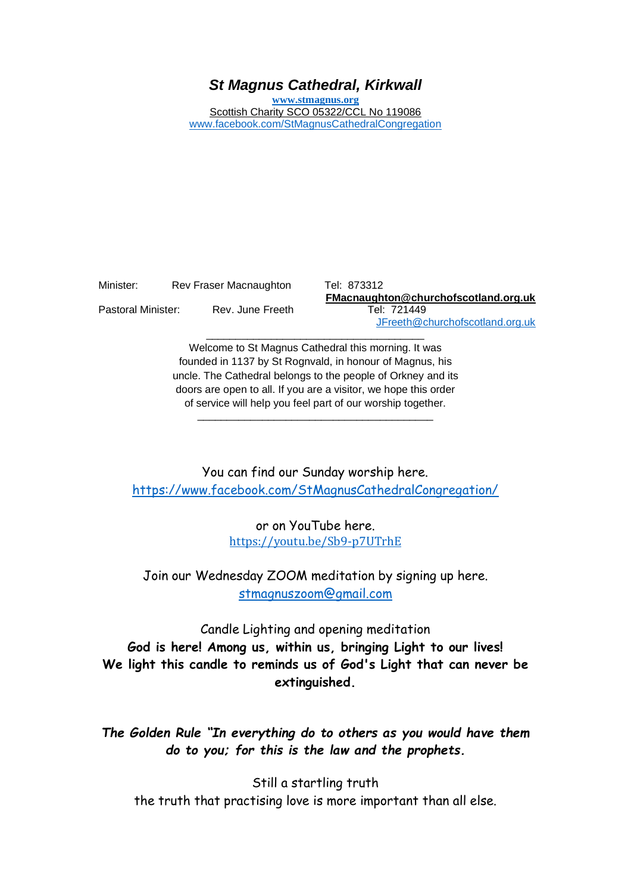## *St Magnus Cathedral, Kirkwall*

**[www.stmagnus.org](http://www.stmagnus.org/)** Scottish Charity SCO 05322/CCL No 119086 [www.facebook.com/StMagnusCathedralCongregation](http://www.facebook.com/StMagnusCathedralCongregation)

Minister: Rev Fraser Macnaughton Tel: 873312 Pastoral Minister: Rev. June Freeth Tel: 721449

**FMacnaughton@churchofscotland.org.uk** [JFreeth@churchofscotland.org.uk](mailto:JFreeth@churchofscotland.org.uk)

Welcome to St Magnus Cathedral this morning. It was founded in 1137 by St Rognvald, in honour of Magnus, his uncle. The Cathedral belongs to the people of Orkney and its doors are open to all. If you are a visitor, we hope this order of service will help you feel part of our worship together.

\_\_\_\_\_\_\_\_\_\_\_\_\_\_\_\_\_\_\_\_\_\_\_\_\_\_\_\_\_\_\_\_\_\_\_\_\_\_\_\_

\_\_\_\_\_\_\_\_\_\_\_\_\_\_\_\_\_\_\_\_\_\_\_\_\_\_\_\_\_\_\_\_\_\_\_\_\_

You can find our Sunday worship here. <https://www.facebook.com/StMagnusCathedralCongregation/>

> or on YouTube here. [https://youtu.be/Sb9-p7UTrhE](https://avanan.url-protection.com/v1/url?o=https%3A//youtu.be/Sb9-p7UTrhE&g=MWU3Yjc5ZWU2YmExOTM3Nw==&h=YWNhYzZmNTU2YThiNWQ1NTI4MGExMDcwODExYzhhNjUyMGI3MzkwMjI2YTc4NWE4YWY4ZjEzMjM1NTlmMWQ5NA==&p=YXAzOmNvczphOm86NjNhYmZkYTAxYTU2NTcwODFkN2E1YTM5Yzc1YjBlYTc6djE6aDpU)

Join our Wednesday ZOOM meditation by signing up here. [stmagnuszoom@gmail.com](mailto:stmagnuszoom@gmail.com)

Candle Lighting and opening meditation **God is here! Among us, within us, bringing Light to our lives! We light this candle to reminds us of God's Light that can never be extinguished.**

*The Golden Rule "In everything do to others as you would have them do to you; for this is the law and the prophets.*

Still a startling truth the truth that practising love is more important than all else.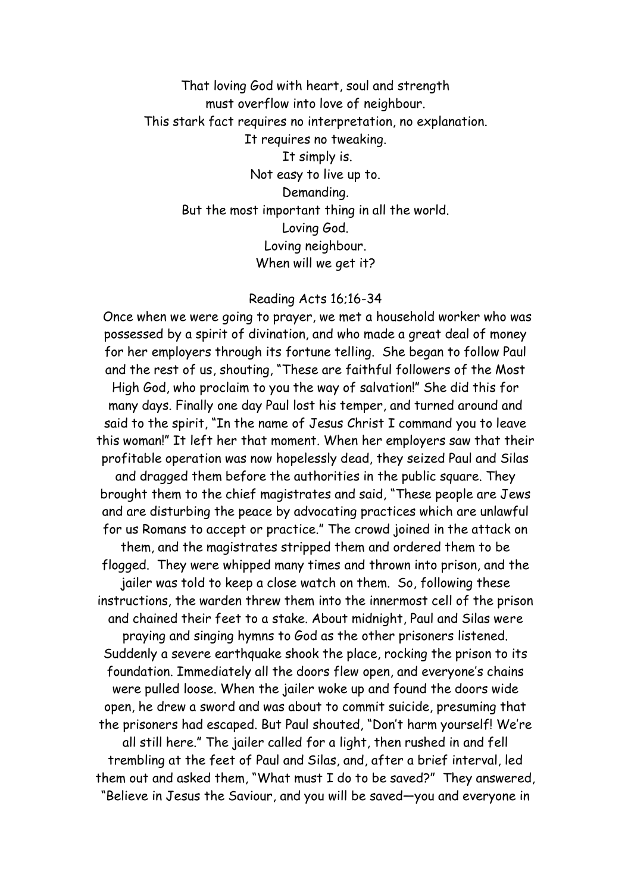That loving God with heart, soul and strength must overflow into love of neighbour. This stark fact requires no interpretation, no explanation. It requires no tweaking. It simply is. Not easy to live up to. Demanding. But the most important thing in all the world. Loving God. Loving neighbour. When will we get it?

#### Reading Acts 16;16-34

Once when we were going to prayer, we met a household worker who was possessed by a spirit of divination, and who made a great deal of money for her employers through its fortune telling. She began to follow Paul and the rest of us, shouting, "These are faithful followers of the Most High God, who proclaim to you the way of salvation!" She did this for many days. Finally one day Paul lost his temper, and turned around and said to the spirit, "In the name of Jesus Christ I command you to leave this woman!" It left her that moment. When her employers saw that their profitable operation was now hopelessly dead, they seized Paul and Silas and dragged them before the authorities in the public square. They brought them to the chief magistrates and said, "These people are Jews and are disturbing the peace by advocating practices which are unlawful for us Romans to accept or practice." The crowd joined in the attack on them, and the magistrates stripped them and ordered them to be flogged. They were whipped many times and thrown into prison, and the jailer was told to keep a close watch on them. So, following these instructions, the warden threw them into the innermost cell of the prison and chained their feet to a stake. About midnight, Paul and Silas were praying and singing hymns to God as the other prisoners listened. Suddenly a severe earthquake shook the place, rocking the prison to its foundation. Immediately all the doors flew open, and everyone's chains were pulled loose. When the jailer woke up and found the doors wide open, he drew a sword and was about to commit suicide, presuming that the prisoners had escaped. But Paul shouted, "Don't harm yourself! We're all still here." The jailer called for a light, then rushed in and fell trembling at the feet of Paul and Silas, and, after a brief interval, led them out and asked them, "What must I do to be saved?" They answered, "Believe in Jesus the Saviour, and you will be saved—you and everyone in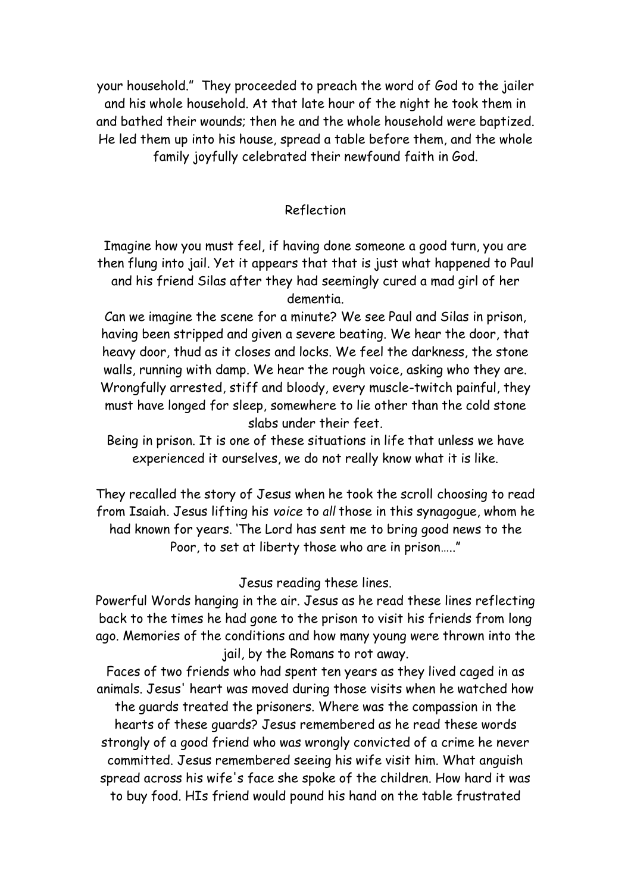your household." They proceeded to preach the word of God to the jailer and his whole household. At that late hour of the night he took them in and bathed their wounds; then he and the whole household were baptized. He led them up into his house, spread a table before them, and the whole family joyfully celebrated their newfound faith in God.

### Reflection

Imagine how you must feel, if having done someone a good turn, you are then flung into jail. Yet it appears that that is just what happened to Paul and his friend Silas after they had seemingly cured a mad girl of her dementia.

Can we imagine the scene for a minute? We see Paul and Silas in prison, having been stripped and given a severe beating. We hear the door, that heavy door, thud as it closes and locks. We feel the darkness, the stone walls, running with damp. We hear the rough voice, asking who they are. Wrongfully arrested, stiff and bloody, every muscle-twitch painful, they must have longed for sleep, somewhere to lie other than the cold stone slabs under their feet.

Being in prison. It is one of these situations in life that unless we have experienced it ourselves, we do not really know what it is like.

They recalled the story of Jesus when he took the scroll choosing to read from Isaiah. Jesus lifting his *voice* to *all* those in this synagogue, whom he had known for years. 'The Lord has sent me to bring good news to the Poor, to set at liberty those who are in prison….."

# Jesus reading these lines.

Powerful Words hanging in the air. Jesus as he read these lines reflecting back to the times he had gone to the prison to visit his friends from long ago. Memories of the conditions and how many young were thrown into the jail, by the Romans to rot away.

Faces of two friends who had spent ten years as they lived caged in as animals. Jesus' heart was moved during those visits when he watched how the guards treated the prisoners. Where was the compassion in the hearts of these guards? Jesus remembered as he read these words strongly of a good friend who was wrongly convicted of a crime he never committed. Jesus remembered seeing his wife visit him. What anguish spread across his wife's face she spoke of the children. How hard it was to buy food. HIs friend would pound his hand on the table frustrated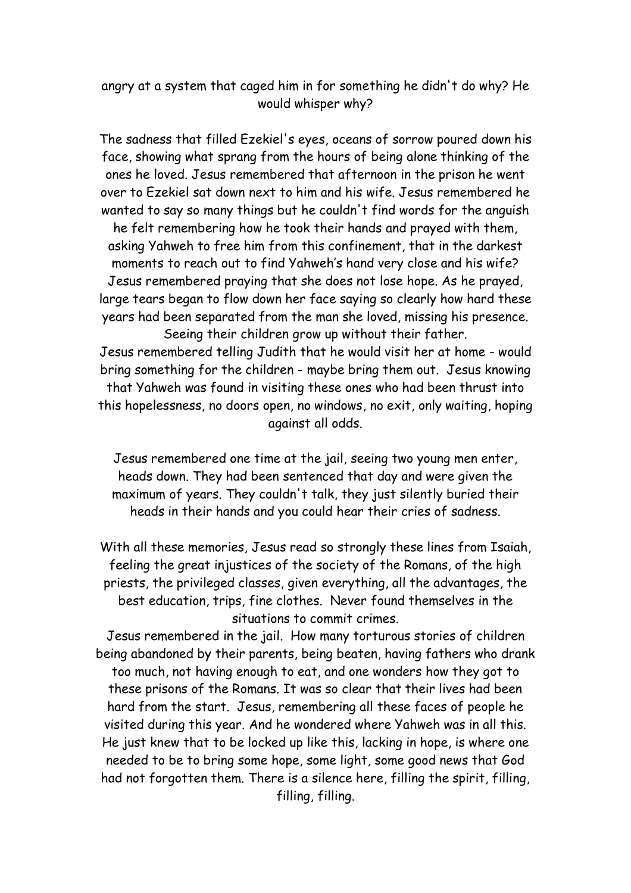## angry at a system that caged him in for something he didn't do why? He would whisper why?

The sadness that filled Ezekiel's eyes, oceans of sorrow poured down his face, showing what sprang from the hours of being alone thinking of the ones he loved. Jesus remembered that afternoon in the prison he went over to Ezekiel sat down next to him and his wife. Jesus remembered he wanted to say so many things but he couldn't find words for the anguish he felt remembering how he took their hands and prayed with them, asking Yahweh to free him from this confinement, that in the darkest moments to reach out to find Yahweh's hand very close and his wife? Jesus remembered praying that she does not lose hope. As he prayed, large tears began to flow down her face saying so clearly how hard these years had been separated from the man she loved, missing his presence. Seeing their children grow up without their father.

Jesus remembered telling Judith that he would visit her at home - would bring something for the children - maybe bring them out. Jesus knowing that Yahweh was found in visiting these ones who had been thrust into this hopelessness, no doors open, no windows, no exit, only waiting, hoping against all odds.

Jesus remembered one time at the jail, seeing two young men enter, heads down. They had been sentenced that day and were given the maximum of years. They couldn't talk, they just silently buried their heads in their hands and you could hear their cries of sadness.

With all these memories, Jesus read so strongly these lines from Isaiah, feeling the great injustices of the society of the Romans, of the high priests, the privileged classes, given everything, all the advantages, the best education, trips, fine clothes. Never found themselves in the situations to commit crimes.

Jesus remembered in the jail. How many torturous stories of children being abandoned by their parents, being beaten, having fathers who drank too much, not having enough to eat, and one wonders how they got to these prisons of the Romans. It was so clear that their lives had been hard from the start. Jesus, remembering all these faces of people he visited during this year. And he wondered where Yahweh was in all this. He just knew that to be locked up like this, lacking in hope, is where one needed to be to bring some hope, some light, some good news that God had not forgotten them. There is a silence here, filling the spirit, filling, filling, filling.